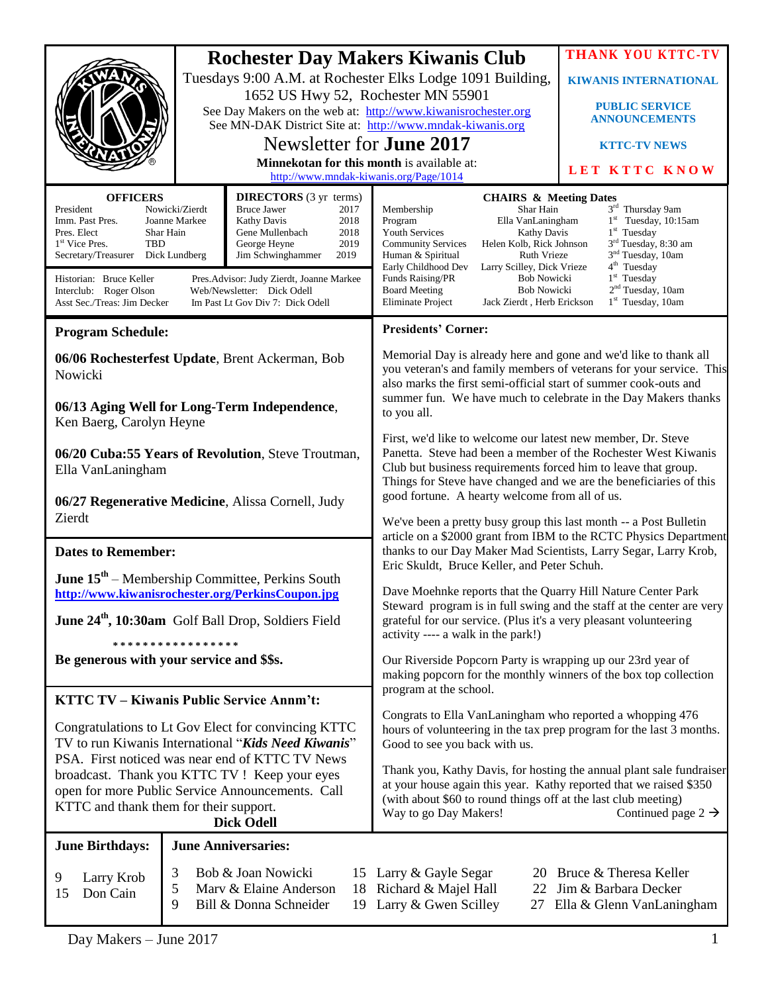|                                                                                                                                                                                                                                                                                                                                                                                                                                                  |                                    |                                                                                                                                                                                                                                                                                                                                                                                                                                                                                                                                     | <b>Rochester Day Makers Kiwanis Club</b>                                                                                                                                                                                                                                                                                                                                                                                                                                                                                                                                                                                 | <b>THANK YOU KTTC-TV</b>                                                          |
|--------------------------------------------------------------------------------------------------------------------------------------------------------------------------------------------------------------------------------------------------------------------------------------------------------------------------------------------------------------------------------------------------------------------------------------------------|------------------------------------|-------------------------------------------------------------------------------------------------------------------------------------------------------------------------------------------------------------------------------------------------------------------------------------------------------------------------------------------------------------------------------------------------------------------------------------------------------------------------------------------------------------------------------------|--------------------------------------------------------------------------------------------------------------------------------------------------------------------------------------------------------------------------------------------------------------------------------------------------------------------------------------------------------------------------------------------------------------------------------------------------------------------------------------------------------------------------------------------------------------------------------------------------------------------------|-----------------------------------------------------------------------------------|
|                                                                                                                                                                                                                                                                                                                                                                                                                                                  |                                    |                                                                                                                                                                                                                                                                                                                                                                                                                                                                                                                                     | Tuesdays 9:00 A.M. at Rochester Elks Lodge 1091 Building,                                                                                                                                                                                                                                                                                                                                                                                                                                                                                                                                                                | <b>KIWANIS INTERNATIONAL</b>                                                      |
|                                                                                                                                                                                                                                                                                                                                                                                                                                                  | 1652 US Hwy 52, Rochester MN 55901 |                                                                                                                                                                                                                                                                                                                                                                                                                                                                                                                                     |                                                                                                                                                                                                                                                                                                                                                                                                                                                                                                                                                                                                                          | <b>PUBLIC SERVICE</b>                                                             |
|                                                                                                                                                                                                                                                                                                                                                                                                                                                  |                                    |                                                                                                                                                                                                                                                                                                                                                                                                                                                                                                                                     | See Day Makers on the web at: http://www.kiwanisrochester.org<br>See MN-DAK District Site at: http://www.mndak-kiwanis.org                                                                                                                                                                                                                                                                                                                                                                                                                                                                                               | <b>ANNOUNCEMENTS</b>                                                              |
|                                                                                                                                                                                                                                                                                                                                                                                                                                                  | Newsletter for <b>June 2017</b>    |                                                                                                                                                                                                                                                                                                                                                                                                                                                                                                                                     |                                                                                                                                                                                                                                                                                                                                                                                                                                                                                                                                                                                                                          | <b>KTTC-TV NEWS</b>                                                               |
|                                                                                                                                                                                                                                                                                                                                                                                                                                                  |                                    | Minnekotan for this month is available at:                                                                                                                                                                                                                                                                                                                                                                                                                                                                                          |                                                                                                                                                                                                                                                                                                                                                                                                                                                                                                                                                                                                                          |                                                                                   |
|                                                                                                                                                                                                                                                                                                                                                                                                                                                  |                                    | http://www.mndak-kiwanis.org/Page/1014                                                                                                                                                                                                                                                                                                                                                                                                                                                                                              |                                                                                                                                                                                                                                                                                                                                                                                                                                                                                                                                                                                                                          | LET KTTC KNOW                                                                     |
| <b>OFFICERS</b><br><b>DIRECTORS</b> (3 yr terms)<br>Nowicki/Zierdt<br>President<br><b>Bruce Jawer</b><br>2017<br>Imm. Past Pres.<br>Joanne Markee<br><b>Kathy Davis</b><br>2018<br>Shar Hain<br>Gene Mullenbach<br>2018<br>Pres. Elect<br>1 <sup>st</sup> Vice Pres.<br>TBD<br>George Heyne<br>2019<br>Dick Lundberg<br>Jim Schwinghammer<br>2019<br>Secretary/Treasurer<br>Historian: Bruce Keller<br>Pres. Advisor: Judy Zierdt, Joanne Markee |                                    | <b>CHAIRS &amp; Meeting Dates</b><br>3 <sup>rd</sup> Thursday 9am<br>Membership<br>Shar Hain<br>$1st$ Tuesday, 10:15am<br>Program<br>Ella VanLaningham<br>$1st$ Tuesday<br><b>Youth Services</b><br>Kathy Davis<br>3 <sup>rd</sup> Tuesday, 8:30 am<br><b>Community Services</b><br>Helen Kolb, Rick Johnson<br>3 <sup>nd</sup> Tuesday, 10am<br>Human & Spiritual<br><b>Ruth Vrieze</b><br>4 <sup>th</sup> Tuesday<br>Early Childhood Dev<br>Larry Scilley, Dick Vrieze<br>$1st$ Tuesday<br>Funds Raising/PR<br><b>Bob Nowicki</b> |                                                                                                                                                                                                                                                                                                                                                                                                                                                                                                                                                                                                                          |                                                                                   |
| Interclub: Roger Olson<br>Web/Newsletter: Dick Odell<br>Asst Sec./Treas: Jim Decker<br>Im Past Lt Gov Div 7: Dick Odell                                                                                                                                                                                                                                                                                                                          |                                    |                                                                                                                                                                                                                                                                                                                                                                                                                                                                                                                                     | 2 <sup>nd</sup> Tuesday, 10am<br><b>Bob Nowicki</b><br><b>Board Meeting</b><br>$1st$ Tuesday, 10am<br>Eliminate Project<br>Jack Zierdt, Herb Erickson                                                                                                                                                                                                                                                                                                                                                                                                                                                                    |                                                                                   |
| <b>Program Schedule:</b>                                                                                                                                                                                                                                                                                                                                                                                                                         |                                    |                                                                                                                                                                                                                                                                                                                                                                                                                                                                                                                                     | <b>Presidents' Corner:</b>                                                                                                                                                                                                                                                                                                                                                                                                                                                                                                                                                                                               |                                                                                   |
| 06/06 Rochesterfest Update, Brent Ackerman, Bob<br>Nowicki                                                                                                                                                                                                                                                                                                                                                                                       |                                    |                                                                                                                                                                                                                                                                                                                                                                                                                                                                                                                                     | Memorial Day is already here and gone and we'd like to thank all<br>you veteran's and family members of veterans for your service. This<br>also marks the first semi-official start of summer cook-outs and<br>summer fun. We have much to celebrate in the Day Makers thanks<br>to you all.<br>First, we'd like to welcome our latest new member, Dr. Steve<br>Panetta. Steve had been a member of the Rochester West Kiwanis<br>Club but business requirements forced him to leave that group.<br>Things for Steve have changed and we are the beneficiaries of this<br>good fortune. A hearty welcome from all of us. |                                                                                   |
| 06/13 Aging Well for Long-Term Independence,<br>Ken Baerg, Carolyn Heyne                                                                                                                                                                                                                                                                                                                                                                         |                                    |                                                                                                                                                                                                                                                                                                                                                                                                                                                                                                                                     |                                                                                                                                                                                                                                                                                                                                                                                                                                                                                                                                                                                                                          |                                                                                   |
| 06/20 Cuba:55 Years of Revolution, Steve Troutman,<br>Ella VanLaningham                                                                                                                                                                                                                                                                                                                                                                          |                                    |                                                                                                                                                                                                                                                                                                                                                                                                                                                                                                                                     |                                                                                                                                                                                                                                                                                                                                                                                                                                                                                                                                                                                                                          |                                                                                   |
| 06/27 Regenerative Medicine, Alissa Cornell, Judy                                                                                                                                                                                                                                                                                                                                                                                                |                                    |                                                                                                                                                                                                                                                                                                                                                                                                                                                                                                                                     |                                                                                                                                                                                                                                                                                                                                                                                                                                                                                                                                                                                                                          |                                                                                   |
| Zierdt                                                                                                                                                                                                                                                                                                                                                                                                                                           |                                    |                                                                                                                                                                                                                                                                                                                                                                                                                                                                                                                                     | We've been a pretty busy group this last month -- a Post Bulletin<br>article on a \$2000 grant from IBM to the RCTC Physics Department<br>thanks to our Day Maker Mad Scientists, Larry Segar, Larry Krob,<br>Eric Skuldt, Bruce Keller, and Peter Schuh.                                                                                                                                                                                                                                                                                                                                                                |                                                                                   |
|                                                                                                                                                                                                                                                                                                                                                                                                                                                  |                                    |                                                                                                                                                                                                                                                                                                                                                                                                                                                                                                                                     |                                                                                                                                                                                                                                                                                                                                                                                                                                                                                                                                                                                                                          |                                                                                   |
| <b>Dates to Remember:</b>                                                                                                                                                                                                                                                                                                                                                                                                                        |                                    |                                                                                                                                                                                                                                                                                                                                                                                                                                                                                                                                     |                                                                                                                                                                                                                                                                                                                                                                                                                                                                                                                                                                                                                          |                                                                                   |
| <b>June <math>15^{th}</math></b> – Membership Committee, Perkins South<br>http://www.kiwanisrochester.org/PerkinsCoupon.jpg                                                                                                                                                                                                                                                                                                                      |                                    |                                                                                                                                                                                                                                                                                                                                                                                                                                                                                                                                     | Dave Moehnke reports that the Quarry Hill Nature Center Park<br>Steward program is in full swing and the staff at the center are very                                                                                                                                                                                                                                                                                                                                                                                                                                                                                    |                                                                                   |
| June 24 <sup>th</sup> , 10:30am Golf Ball Drop, Soldiers Field                                                                                                                                                                                                                                                                                                                                                                                   |                                    |                                                                                                                                                                                                                                                                                                                                                                                                                                                                                                                                     | grateful for our service. (Plus it's a very pleasant volunteering<br>activity ---- a walk in the park!)                                                                                                                                                                                                                                                                                                                                                                                                                                                                                                                  |                                                                                   |
| * * * * * * * * * * * * * * * * *<br>Be generous with your service and \$\$s.                                                                                                                                                                                                                                                                                                                                                                    |                                    |                                                                                                                                                                                                                                                                                                                                                                                                                                                                                                                                     | Our Riverside Popcorn Party is wrapping up our 23rd year of<br>making popcorn for the monthly winners of the box top collection<br>program at the school.<br>Congrats to Ella VanLaningham who reported a whopping 476<br>hours of volunteering in the tax prep program for the last 3 months.<br>Good to see you back with us.                                                                                                                                                                                                                                                                                          |                                                                                   |
|                                                                                                                                                                                                                                                                                                                                                                                                                                                  |                                    |                                                                                                                                                                                                                                                                                                                                                                                                                                                                                                                                     |                                                                                                                                                                                                                                                                                                                                                                                                                                                                                                                                                                                                                          |                                                                                   |
| <b>KTTC TV - Kiwanis Public Service Annm't:</b>                                                                                                                                                                                                                                                                                                                                                                                                  |                                    |                                                                                                                                                                                                                                                                                                                                                                                                                                                                                                                                     |                                                                                                                                                                                                                                                                                                                                                                                                                                                                                                                                                                                                                          |                                                                                   |
| Congratulations to Lt Gov Elect for convincing KTTC<br>TV to run Kiwanis International "Kids Need Kiwanis"<br>PSA. First noticed was near end of KTTC TV News                                                                                                                                                                                                                                                                                    |                                    |                                                                                                                                                                                                                                                                                                                                                                                                                                                                                                                                     |                                                                                                                                                                                                                                                                                                                                                                                                                                                                                                                                                                                                                          |                                                                                   |
| broadcast. Thank you KTTC TV ! Keep your eyes<br>open for more Public Service Announcements. Call<br>KTTC and thank them for their support.<br><b>Dick Odell</b>                                                                                                                                                                                                                                                                                 |                                    |                                                                                                                                                                                                                                                                                                                                                                                                                                                                                                                                     | Thank you, Kathy Davis, for hosting the annual plant sale fundraiser<br>at your house again this year. Kathy reported that we raised \$350<br>(with about \$60 to round things off at the last club meeting)<br>Way to go Day Makers!<br>Continued page $2 \rightarrow$                                                                                                                                                                                                                                                                                                                                                  |                                                                                   |
| <b>June Birthdays:</b>                                                                                                                                                                                                                                                                                                                                                                                                                           |                                    | <b>June Anniversaries:</b>                                                                                                                                                                                                                                                                                                                                                                                                                                                                                                          |                                                                                                                                                                                                                                                                                                                                                                                                                                                                                                                                                                                                                          |                                                                                   |
| Larry Krob<br>9<br>Don Cain<br>15                                                                                                                                                                                                                                                                                                                                                                                                                | 3<br>$\mathfrak{S}$<br>9           | Bob & Joan Nowicki<br>Marv & Elaine Anderson<br>Bill & Donna Schneider                                                                                                                                                                                                                                                                                                                                                                                                                                                              | 15 Larry & Gayle Segar<br>18 Richard & Majel Hall<br>19 Larry & Gwen Scilley<br>27                                                                                                                                                                                                                                                                                                                                                                                                                                                                                                                                       | 20 Bruce & Theresa Keller<br>22 Jim & Barbara Decker<br>Ella & Glenn VanLaningham |

I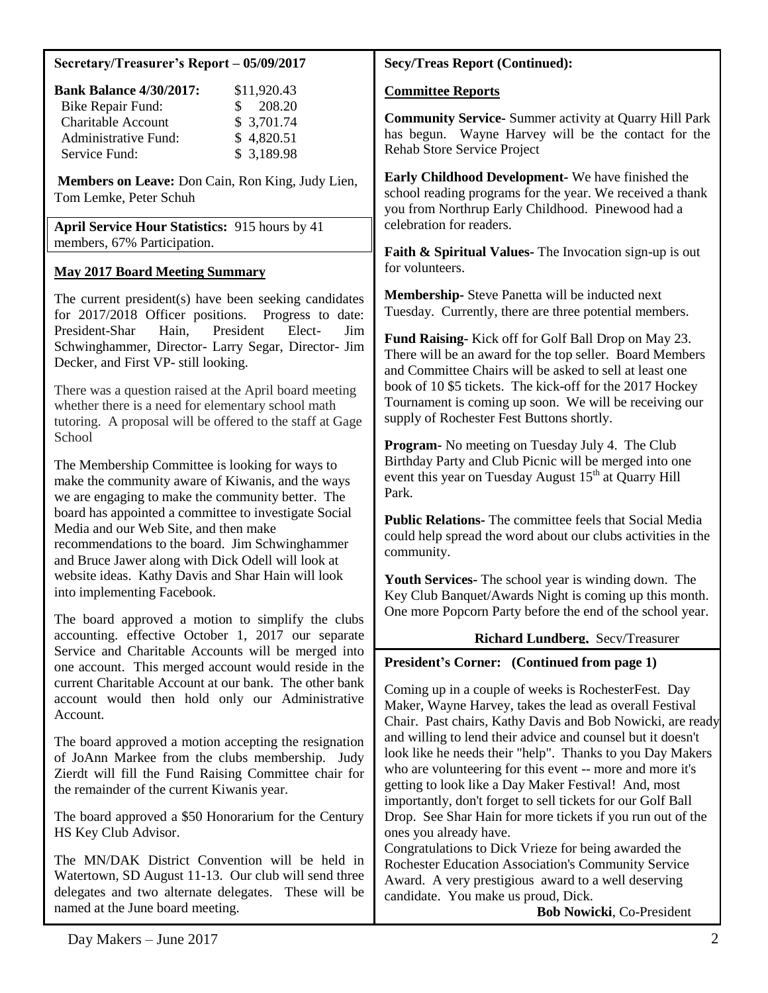#### **Secretary/Treasurer's Report – 05/09/2017**

| <b>Bank Balance 4/30/2017:</b> | \$11,920.43   |
|--------------------------------|---------------|
| <b>Bike Repair Fund:</b>       | 208.20<br>SS. |
| <b>Charitable Account</b>      | \$3,701.74    |
| Administrative Fund:           | \$4,820.51    |
| Service Fund:                  | \$3,189.98    |

**Members on Leave:** Don Cain, Ron King, Judy Lien, Tom Lemke, Peter Schuh

**April Service Hour Statistics:** 915 hours by 41 members, 67% Participation.

### **May 2017 Board Meeting Summary**

The current president(s) have been seeking candidates for 2017/2018 Officer positions. Progress to date: President-Shar Hain, President Elect- Jim Schwinghammer, Director- Larry Segar, Director- Jim Decker, and First VP- still looking.

There was a question raised at the April board meeting whether there is a need for elementary school math tutoring. A proposal will be offered to the staff at Gage **School** 

The Membership Committee is looking for ways to make the community aware of Kiwanis, and the ways we are engaging to make the community better. The board has appointed a committee to investigate Social Media and our Web Site, and then make recommendations to the board. Jim Schwinghammer and Bruce Jawer along with Dick Odell will look at website ideas. Kathy Davis and Shar Hain will look into implementing Facebook.

The board approved a motion to simplify the clubs accounting. effective October 1, 2017 our separate Service and Charitable Accounts will be merged into one account. This merged account would reside in the current Charitable Account at our bank. The other bank account would then hold only our Administrative Account.

The board approved a motion accepting the resignation of JoAnn Markee from the clubs membership. Judy Zierdt will fill the Fund Raising Committee chair for the remainder of the current Kiwanis year.

The board approved a \$50 Honorarium for the Century HS Key Club Advisor.

The MN/DAK District Convention will be held in Watertown, SD August 11-13. Our club will send three delegates and two alternate delegates. These will be named at the June board meeting.

### **Secy/Treas Report (Continued):**

#### **Committee Reports**

**Community Service-** Summer activity at Quarry Hill Park has begun. Wayne Harvey will be the contact for the Rehab Store Service Project

**Early Childhood Development-** We have finished the school reading programs for the year. We received a thank you from Northrup Early Childhood. Pinewood had a celebration for readers.

**Faith & Spiritual Values-** The Invocation sign-up is out for volunteers.

**Membership-** Steve Panetta will be inducted next Tuesday. Currently, there are three potential members.

**Fund Raising-** Kick off for Golf Ball Drop on May 23. There will be an award for the top seller. Board Members and Committee Chairs will be asked to sell at least one book of 10 \$5 tickets. The kick-off for the 2017 Hockey Tournament is coming up soon. We will be receiving our supply of Rochester Fest Buttons shortly.

**Program-** No meeting on Tuesday July 4. The Club Birthday Party and Club Picnic will be merged into one event this year on Tuesday August  $15<sup>th</sup>$  at Quarry Hill Park.

**Public Relations-** The committee feels that Social Media could help spread the word about our clubs activities in the community.

**Youth Services-** The school year is winding down. The Key Club Banquet/Awards Night is coming up this month. One more Popcorn Party before the end of the school year.

#### **Richard Lundberg,** Secy/Treasurer

#### **President's Corner: (Continued from page 1)**

Coming up in a couple of weeks is RochesterFest. Day Maker, Wayne Harvey, takes the lead as overall Festival Chair. Past chairs, Kathy Davis and Bob Nowicki, are ready and willing to lend their advice and counsel but it doesn't look like he needs their "help". Thanks to you Day Makers who are volunteering for this event -- more and more it's getting to look like a Day Maker Festival! And, most importantly, don't forget to sell tickets for our Golf Ball Drop. See Shar Hain for more tickets if you run out of the ones you already have.

Congratulations to Dick Vrieze for being awarded the Rochester Education Association's Community Service Award. A very prestigious award to a well deserving candidate. You make us proud, Dick.

 **Bob Nowicki**, Co-President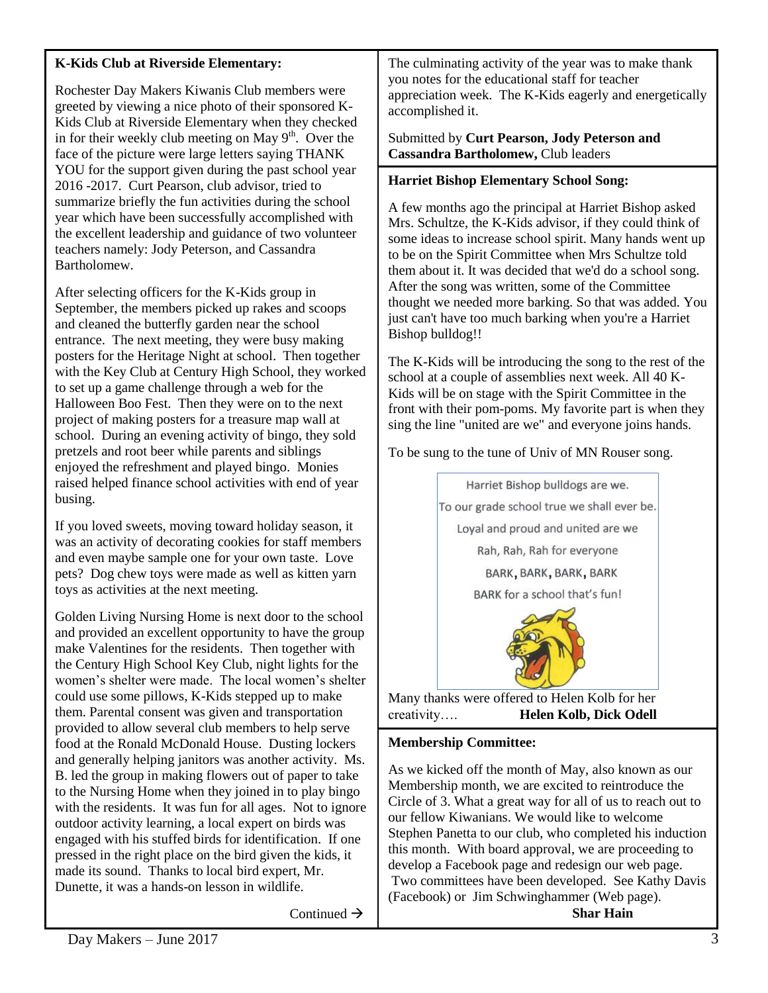# **K-Kids Club at Riverside Elementary:**

Rochester Day Makers Kiwanis Club members were greeted by viewing a nice photo of their sponsored K-Kids Club at Riverside Elementary when they checked in for their weekly club meeting on May  $9<sup>th</sup>$ . Over the face of the picture were large letters saying THANK YOU for the support given during the past school year 2016 -2017. Curt Pearson, club advisor, tried to summarize briefly the fun activities during the school year which have been successfully accomplished with the excellent leadership and guidance of two volunteer teachers namely: Jody Peterson, and Cassandra Bartholomew.

After selecting officers for the K-Kids group in September, the members picked up rakes and scoops and cleaned the butterfly garden near the school entrance. The next meeting, they were busy making posters for the Heritage Night at school. Then together with the Key Club at Century High School, they worked to set up a game challenge through a web for the Halloween Boo Fest. Then they were on to the next project of making posters for a treasure map wall at school. During an evening activity of bingo, they sold pretzels and root beer while parents and siblings enjoyed the refreshment and played bingo. Monies raised helped finance school activities with end of year busing.

If you loved sweets, moving toward holiday season, it was an activity of decorating cookies for staff members and even maybe sample one for your own taste. Love pets? Dog chew toys were made as well as kitten yarn toys as activities at the next meeting.

Golden Living Nursing Home is next door to the school and provided an excellent opportunity to have the group make Valentines for the residents. Then together with the Century High School Key Club, night lights for the women's shelter were made. The local women's shelter could use some pillows, K-Kids stepped up to make them. Parental consent was given and transportation provided to allow several club members to help serve food at the Ronald McDonald House. Dusting lockers and generally helping janitors was another activity. Ms. B. led the group in making flowers out of paper to take to the Nursing Home when they joined in to play bingo with the residents. It was fun for all ages. Not to ignore outdoor activity learning, a local expert on birds was engaged with his stuffed birds for identification. If one pressed in the right place on the bird given the kids, it made its sound. Thanks to local bird expert, Mr. Dunette, it was a hands-on lesson in wildlife.

Continued  $\rightarrow$ 

The culminating activity of the year was to make thank you notes for the educational staff for teacher appreciation week. The K-Kids eagerly and energetically accomplished it.

#### Submitted by **Curt Pearson, Jody Peterson and Cassandra Bartholomew,** Club leaders

#### **Harriet Bishop Elementary School Song:**

A few months ago the principal at Harriet Bishop asked Mrs. Schultze, the K-Kids advisor, if they could think of some ideas to increase school spirit. Many hands went up to be on the Spirit Committee when Mrs Schultze told them about it. It was decided that we'd do a school song. After the song was written, some of the Committee thought we needed more barking. So that was added. You just can't have too much barking when you're a Harriet Bishop bulldog!!

The K-Kids will be introducing the song to the rest of the school at a couple of assemblies next week. All 40 K-Kids will be on stage with the Spirit Committee in the front with their pom-poms. My favorite part is when they sing the line "united are we" and everyone joins hands.

To be sung to the tune of Univ of MN Rouser song.



Many thanks were offered to Helen Kolb for her creativity…. **Helen Kolb, Dick Odell**

# **Membership Committee:**

As we kicked off the month of May, also known as our Membership month, we are excited to reintroduce the Circle of 3. What a great way for all of us to reach out to our fellow Kiwanians. We would like to welcome Stephen Panetta to our club, who completed his induction this month. With board approval, we are proceeding to develop a Facebook page and redesign our web page. Two committees have been developed. See Kathy Davis (Facebook) or Jim Schwinghammer (Web page).

**Shar Hain**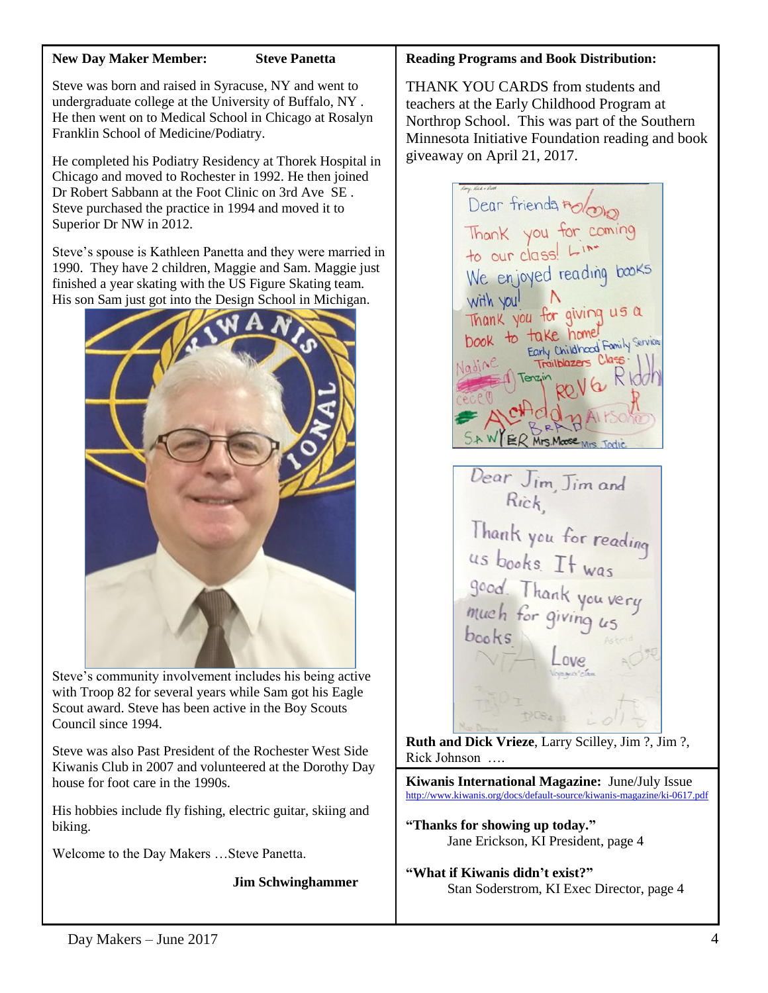#### **New Day Maker Member: Steve Panetta**

Steve was born and raised in Syracuse, NY and went to undergraduate college at the University of Buffalo, NY . He then went on to Medical School in Chicago at Rosalyn Franklin School of Medicine/Podiatry.

He completed his Podiatry Residency at Thorek Hospital in Chicago and moved to Rochester in 1992. He then joined Dr Robert Sabbann at the Foot Clinic on 3rd Ave SE . Steve purchased the practice in 1994 and moved it to Superior Dr NW in 2012.

Steve's spouse is Kathleen Panetta and they were married in 1990. They have 2 children, Maggie and Sam. Maggie just finished a year skating with the US Figure Skating team. His son Sam just got into the Design School in Michigan.



Steve's community involvement includes his being active with Troop 82 for several years while Sam got his Eagle Scout award. Steve has been active in the Boy Scouts Council since 1994.

Steve was also Past President of the Rochester West Side Kiwanis Club in 2007 and volunteered at the Dorothy Day house for foot care in the 1990s.

His hobbies include fly fishing, electric guitar, skiing and biking.

Welcome to the Day Makers …Steve Panetta.

**Jim Schwinghammer**

#### **Reading Programs and Book Distribution:**

THANK YOU CARDS from students and teachers at the Early Childhood Program at Northrop School. This was part of the Southern Minnesota Initiative Foundation reading and book giveaway on April 21, 2017.

Dear friends holono Thank you for coming<br>to our class! Line We enjoyed reading books with you! Thank you for giving us a book to take home Farly Childhood Family Services Trailblazers Tenzi ER Mrs. Moose Mrs. To Dear Jim, Jim and  $Rick$ 

Thank you for reading<br>us books. It was<br>good. Thank you very<br>much for giving us<br>books  $b$ ooks

**Ruth and Dick Vrieze**, Larry Scilley, Jim ?, Jim ?, Rick Johnson ….

**Kiwanis International Magazine:** June/July Issue <http://www.kiwanis.org/docs/default-source/kiwanis-magazine/ki-0617.pdf>

**"Thanks for showing up today."** Jane Erickson, KI President, page 4

**"What if Kiwanis didn't exist?"** Stan Soderstrom, KI Exec Director, page 4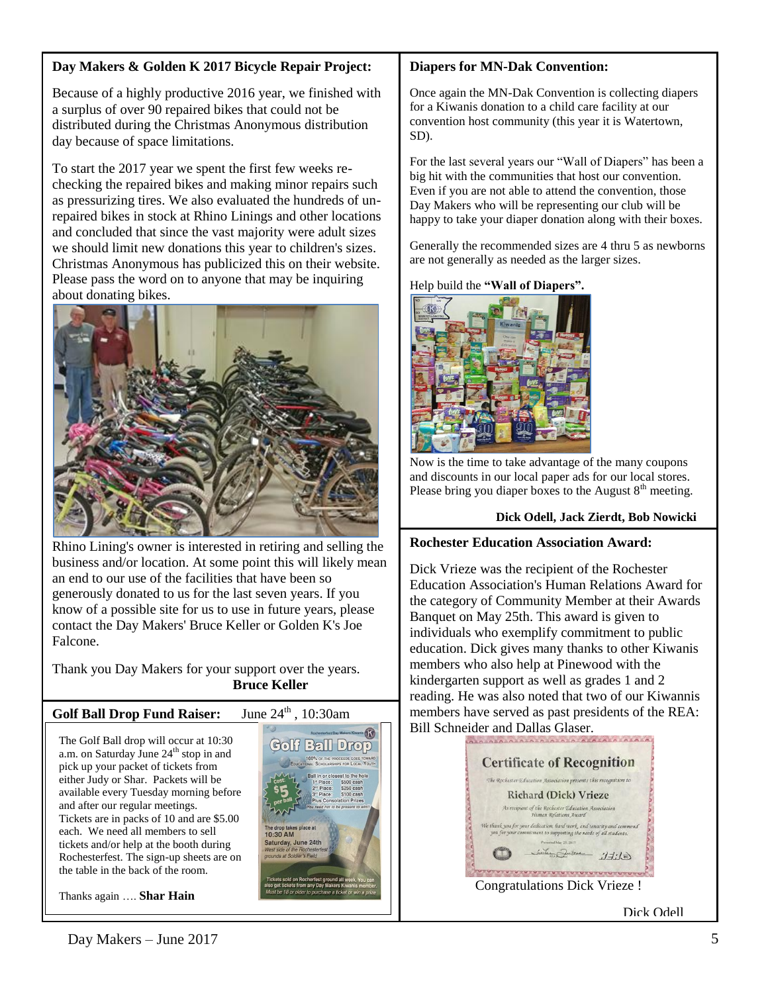# **Day Makers & Golden K 2017 Bicycle Repair Project:**

Because of a highly productive 2016 year, we finished with a surplus of over 90 repaired bikes that could not be distributed during the Christmas Anonymous distribution day because of space limitations.

To start the 2017 year we spent the first few weeks rechecking the repaired bikes and making minor repairs such as pressurizing tires. We also evaluated the hundreds of unrepaired bikes in stock at Rhino Linings and other locations and concluded that since the vast majority were adult sizes we should limit new donations this year to children's sizes. Christmas Anonymous has publicized this on their website. Please pass the word on to anyone that may be inquiring about donating bikes.



Rhino Lining's owner is interested in retiring and selling the business and/or location. At some point this will likely mean an end to our use of the facilities that have been so generously donated to us for the last seven years. If you know of a possible site for us to use in future years, please contact the Day Makers' Bruce Keller or Golden K's Joe Falcone.

Thank you Day Makers for your support over the years. **Bruce Keller**

# **Golf Ball Drop Fund Raiser:** June 24<sup>th</sup>, 10:30am

The Golf Ball drop will occur at 10:30 a.m. on Saturday June  $24<sup>th</sup>$  stop in and pick up your packet of tickets from either Judy or Shar. Packets will be available every Tuesday morning before and after our regular meetings. Tickets are in packs of 10 and are \$5.00 each. We need all members to sell tickets and/or help at the booth during Rochesterfest. The sign-up sheets are on the table in the back of the room.

Thanks again …. **Shar Hain**



#### **Diapers for MN-Dak Convention:**

Once again the MN-Dak Convention is collecting diapers for a Kiwanis donation to a child care facility at our convention host community (this year it is Watertown, SD).

For the last several years our "Wall of Diapers" has been a big hit with the communities that host our convention. Even if you are not able to attend the convention, those Day Makers who will be representing our club will be happy to take your diaper donation along with their boxes.

Generally the recommended sizes are 4 thru 5 as newborns are not generally as needed as the larger sizes.

#### Help build the **"Wall of Diapers".**



Now is the time to take advantage of the many coupons and discounts in our local paper ads for our local stores. Please bring you diaper boxes to the August  $8<sup>th</sup>$  meeting.

#### **Dick Odell, Jack Zierdt, Bob Nowicki**

#### **Rochester Education Association Award:**

Dick Vrieze was the recipient of the Rochester Education Association's Human Relations Award for the category of Community Member at their Awards Banquet on May 25th. This award is given to individuals who exemplify commitment to public education. Dick gives many thanks to other Kiwanis members who also help at Pinewood with the kindergarten support as well as grades 1 and 2 reading. He was also noted that two of our Kiwannis members have served as past presidents of the REA: Bill Schneider and Dallas Glaser.



Dick Odell